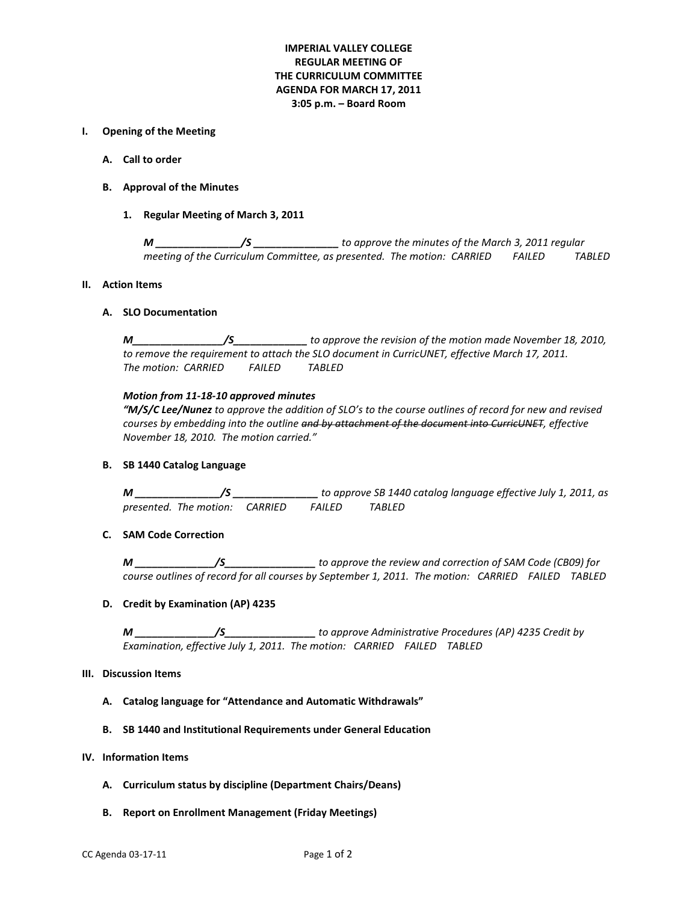# **IMPERIAL VALLEY COLLEGE REGULAR MEETING OF THE CURRICULUM COMMITTEE AGENDA FOR MARCH 17, 2011 3:05 p.m. – Board Room**

# **I. Opening of the Meeting**

- **A. Call to order**
- **B. Approval of the Minutes**
	- **1. Regular Meeting of March 3, 2011**

*M \_\_\_\_\_\_\_\_\_\_\_\_\_\_\_/S \_\_\_\_\_\_\_\_\_\_\_\_\_\_\_ to approve the minutes of the March 3, 2011 regular meeting of the Curriculum Committee, as presented. The motion: CARRIED FAILED TABLED*

### **II. Action Items**

## **A. SLO Documentation**

*M\_\_\_\_\_\_\_\_\_\_\_\_\_\_\_\_/S\_\_\_\_\_\_\_\_\_\_\_\_\_ to approve the revision of the motion made November 18, 2010, to remove the requirement to attach the SLO document in CurricUNET, effective March 17, 2011. The motion: CARRIED FAILED TABLED*

## *Motion from 11-18-10 approved minutes*

*"M/S/C Lee/Nunez to approve the addition of SLO's to the course outlines of record for new and revised courses by embedding into the outline and by attachment of the document into CurricUNET, effective November 18, 2010. The motion carried."*

# **B. SB 1440 Catalog Language**

*M \_\_\_\_\_\_\_\_\_\_\_\_\_\_\_/S \_\_\_\_\_\_\_\_\_\_\_\_\_\_\_ to approve SB 1440 catalog language effective July 1, 2011, as presented. The motion: CARRIED FAILED TABLED*

# **C. SAM Code Correction**

*M \_\_\_\_\_\_\_\_\_\_\_\_\_\_/S\_\_\_\_\_\_\_\_\_\_\_\_\_\_\_\_ to approve the review and correction of SAM Code (CB09) for course outlines of record for all courses by September 1, 2011. The motion: CARRIED FAILED TABLED*

### **D. Credit by Examination (AP) 4235**

*M \_\_\_\_\_\_\_\_\_\_\_\_\_\_/S\_\_\_\_\_\_\_\_\_\_\_\_\_\_\_\_ to approve Administrative Procedures (AP) 4235 Credit by Examination, effective July 1, 2011. The motion: CARRIED FAILED TABLED*

### **III. Discussion Items**

- **A. Catalog language for "Attendance and Automatic Withdrawals"**
- **B. SB 1440 and Institutional Requirements under General Education**

# **IV. Information Items**

- **A. Curriculum status by discipline (Department Chairs/Deans)**
- **B. Report on Enrollment Management (Friday Meetings)**